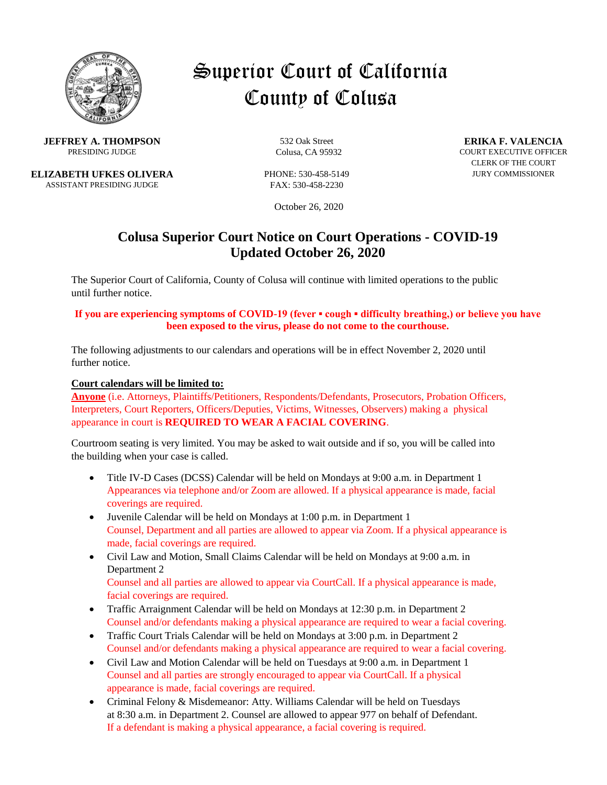

# Superior Court of California County of Colusa

**JEFFREY A. THOMPSON** 532 Oak Street **ERIKA F. VALENCIA**<br>PRESIDING JUDGE COURS CA 95932 COURT EXECUTIVE OFFICE

**ELIZABETH UFKES OLIVERA** PHONE: 530-458-5149 JURY COMMISSIONER ASSISTANT PRESIDING JUDGE FAX: 530-458-2230

**PRESIDING Colusa, CA 95932** COURT EXECUTIVE OFFICER CLERK OF THE COURT

October 26, 2020

## **Colusa Superior Court Notice on Court Operations - COVID-19 Updated October 26, 2020**

The Superior Court of California, County of Colusa will continue with limited operations to the public until further notice.

#### **If you are experiencing symptoms of COVID-19 (fever ▪ cough ▪ difficulty breathing,) or believe you have been exposed to the virus, please do not come to the courthouse.**

The following adjustments to our calendars and operations will be in effect November 2, 2020 until further notice.

#### **Court calendars will be limited to:**

**Anyone** (i.e. Attorneys, Plaintiffs/Petitioners, Respondents/Defendants, Prosecutors, Probation Officers, Interpreters, Court Reporters, Officers/Deputies, Victims, Witnesses, Observers) making a physical appearance in court is **REQUIRED TO WEAR A FACIAL COVERING**.

Courtroom seating is very limited. You may be asked to wait outside and if so, you will be called into the building when your case is called.

- Title IV-D Cases (DCSS) Calendar will be held on Mondays at 9:00 a.m. in Department 1 Appearances via telephone and/or Zoom are allowed. If a physical appearance is made, facial coverings are required.
- Juvenile Calendar will be held on Mondays at 1:00 p.m. in Department 1 Counsel, Department and all parties are allowed to appear via Zoom. If a physical appearance is made, facial coverings are required.
- Civil Law and Motion, Small Claims Calendar will be held on Mondays at 9:00 a.m. in Department 2 Counsel and all parties are allowed to appear via CourtCall. If a physical appearance is made,
- facial coverings are required. • Traffic Arraignment Calendar will be held on Mondays at 12:30 p.m. in Department 2
- Counsel and/or defendants making a physical appearance are required to wear a facial covering. • Traffic Court Trials Calendar will be held on Mondays at 3:00 p.m. in Department 2
- Counsel and/or defendants making a physical appearance are required to wear a facial covering.
- Civil Law and Motion Calendar will be held on Tuesdays at 9:00 a.m. in Department 1 Counsel and all parties are strongly encouraged to appear via CourtCall. If a physical appearance is made, facial coverings are required.
- Criminal Felony & Misdemeanor: Atty. Williams Calendar will be held on Tuesdays at 8:30 a.m. in Department 2. Counsel are allowed to appear 977 on behalf of Defendant. If a defendant is making a physical appearance, a facial covering is required.